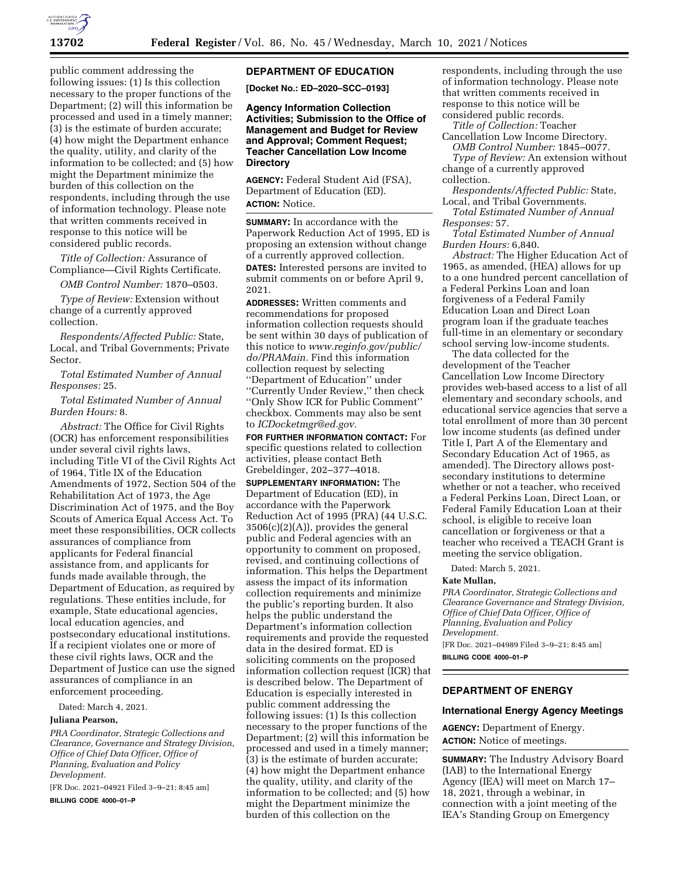

public comment addressing the following issues: (1) Is this collection necessary to the proper functions of the Department; (2) will this information be processed and used in a timely manner; (3) is the estimate of burden accurate; (4) how might the Department enhance the quality, utility, and clarity of the information to be collected; and (5) how might the Department minimize the burden of this collection on the respondents, including through the use of information technology. Please note that written comments received in response to this notice will be considered public records.

*Title of Collection:* Assurance of Compliance—Civil Rights Certificate.

*OMB Control Number:* 1870–0503.

*Type of Review:* Extension without change of a currently approved collection.

*Respondents/Affected Public:* State, Local, and Tribal Governments; Private Sector.

*Total Estimated Number of Annual Responses:* 25.

*Total Estimated Number of Annual Burden Hours:* 8.

*Abstract:* The Office for Civil Rights (OCR) has enforcement responsibilities under several civil rights laws, including Title VI of the Civil Rights Act of 1964, Title IX of the Education Amendments of 1972, Section 504 of the Rehabilitation Act of 1973, the Age Discrimination Act of 1975, and the Boy Scouts of America Equal Access Act. To meet these responsibilities, OCR collects assurances of compliance from applicants for Federal financial assistance from, and applicants for funds made available through, the Department of Education, as required by regulations. These entities include, for example, State educational agencies, local education agencies, and postsecondary educational institutions. If a recipient violates one or more of these civil rights laws, OCR and the Department of Justice can use the signed assurances of compliance in an enforcement proceeding.

Dated: March 4, 2021.

## **Juliana Pearson,**

*PRA Coordinator, Strategic Collections and Clearance, Governance and Strategy Division, Office of Chief Data Officer, Office of Planning, Evaluation and Policy Development.*  [FR Doc. 2021–04921 Filed 3–9–21; 8:45 am]

**BILLING CODE 4000–01–P** 

# **DEPARTMENT OF EDUCATION**

**[Docket No.: ED–2020–SCC–0193]** 

# **Agency Information Collection Activities; Submission to the Office of Management and Budget for Review and Approval; Comment Request; Teacher Cancellation Low Income Directory**

**AGENCY:** Federal Student Aid (FSA), Department of Education (ED). **ACTION:** Notice.

**SUMMARY:** In accordance with the Paperwork Reduction Act of 1995, ED is proposing an extension without change of a currently approved collection.

**DATES:** Interested persons are invited to submit comments on or before April 9, 2021.

**ADDRESSES:** Written comments and recommendations for proposed information collection requests should be sent within 30 days of publication of this notice to *[www.reginfo.gov/public/](http://www.reginfo.gov/public/do/PRAMain) [do/PRAMain.](http://www.reginfo.gov/public/do/PRAMain)* Find this information collection request by selecting ''Department of Education'' under ''Currently Under Review,'' then check ''Only Show ICR for Public Comment'' checkbox. Comments may also be sent to *[ICDocketmgr@ed.gov.](mailto:ICDocketmgr@ed.gov)* 

**FOR FURTHER INFORMATION CONTACT:** For specific questions related to collection activities, please contact Beth Grebeldinger, 202–377–4018.

**SUPPLEMENTARY INFORMATION:** The Department of Education (ED), in accordance with the Paperwork Reduction Act of 1995 (PRA) (44 U.S.C. 3506(c)(2)(A)), provides the general public and Federal agencies with an opportunity to comment on proposed, revised, and continuing collections of information. This helps the Department assess the impact of its information collection requirements and minimize the public's reporting burden. It also helps the public understand the Department's information collection requirements and provide the requested data in the desired format. ED is soliciting comments on the proposed information collection request (ICR) that is described below. The Department of Education is especially interested in public comment addressing the following issues: (1) Is this collection necessary to the proper functions of the Department; (2) will this information be processed and used in a timely manner; (3) is the estimate of burden accurate; (4) how might the Department enhance the quality, utility, and clarity of the information to be collected; and (5) how might the Department minimize the burden of this collection on the

respondents, including through the use of information technology. Please note that written comments received in response to this notice will be considered public records.

*Title of Collection:* Teacher Cancellation Low Income Directory.

*OMB Control Number:* 1845–0077. *Type of Review:* An extension without change of a currently approved

collection. *Respondents/Affected Public:* State, Local, and Tribal Governments.

*Total Estimated Number of Annual* 

*Responses:* 57.

*Total Estimated Number of Annual Burden Hours:* 6,840.

*Abstract:* The Higher Education Act of 1965, as amended, (HEA) allows for up to a one hundred percent cancellation of a Federal Perkins Loan and loan forgiveness of a Federal Family Education Loan and Direct Loan program loan if the graduate teaches full-time in an elementary or secondary school serving low-income students.

The data collected for the development of the Teacher Cancellation Low Income Directory provides web-based access to a list of all elementary and secondary schools, and educational service agencies that serve a total enrollment of more than 30 percent low income students (as defined under Title I, Part A of the Elementary and Secondary Education Act of 1965, as amended). The Directory allows postsecondary institutions to determine whether or not a teacher, who received a Federal Perkins Loan, Direct Loan, or Federal Family Education Loan at their school, is eligible to receive loan cancellation or forgiveness or that a teacher who received a TEACH Grant is meeting the service obligation.

Dated: March 5, 2021.

### **Kate Mullan,**

*PRA Coordinator, Strategic Collections and Clearance Governance and Strategy Division, Office of Chief Data Officer, Office of Planning, Evaluation and Policy Development.* 

[FR Doc. 2021–04989 Filed 3–9–21; 8:45 am] **BILLING CODE 4000–01–P** 

**DEPARTMENT OF ENERGY** 

### **International Energy Agency Meetings**

**AGENCY:** Department of Energy. **ACTION:** Notice of meetings.

**SUMMARY:** The Industry Advisory Board (IAB) to the International Energy Agency (IEA) will meet on March 17– 18, 2021, through a webinar, in connection with a joint meeting of the IEA's Standing Group on Emergency